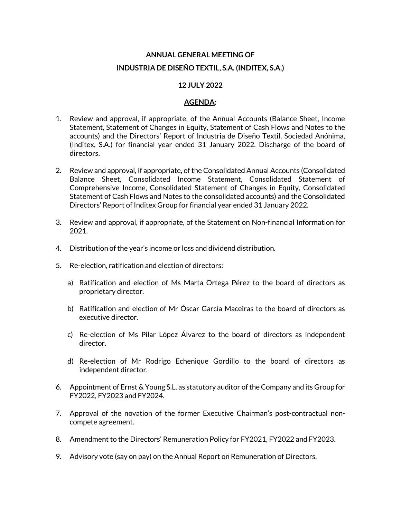## **ANNUAL GENERAL MEETING OF**

## **INDUSTRIA DE DISEÑO TEXTIL, S.A. (INDITEX, S.A.)**

## **12 JULY 2022**

## **AGENDA:**

- 1. Review and approval, if appropriate, of the Annual Accounts (Balance Sheet, Income Statement, Statement of Changes in Equity, Statement of Cash Flows and Notes to the accounts) and the Directors' Report of Industria de Diseño Textil, Sociedad Anónima, (Inditex, S.A.) for financial year ended 31 January 2022. Discharge of the board of directors.
- 2. Review and approval, if appropriate, of the Consolidated Annual Accounts (Consolidated Balance Sheet, Consolidated Income Statement, Consolidated Statement of Comprehensive Income, Consolidated Statement of Changes in Equity, Consolidated Statement of Cash Flows and Notes to the consolidated accounts) and the Consolidated Directors' Report of Inditex Group for financial year ended 31 January 2022.
- 3. Review and approval, if appropriate, of the Statement on Non-financial Information for 2021.
- 4. Distribution of the year's income or loss and dividend distribution.
- 5. Re-election, ratification and election of directors:
	- a) Ratification and election of Ms Marta Ortega Pérez to the board of directors as proprietary director.
	- b) Ratification and election of Mr Óscar García Maceiras to the board of directors as executive director.
	- c) Re-election of Ms Pilar López Álvarez to the board of directors as independent director.
	- d) Re-election of Mr Rodrigo Echenique Gordillo to the board of directors as independent director.
- 6. Appointment of Ernst & Young S.L. as statutory auditor of the Company and its Group for FY2022, FY2023 and FY2024.
- 7. Approval of the novation of the former Executive Chairman's post-contractual noncompete agreement.
- 8. Amendment to the Directors' Remuneration Policy for FY2021, FY2022 and FY2023.
- 9. Advisory vote (say on pay) on the Annual Report on Remuneration of Directors.